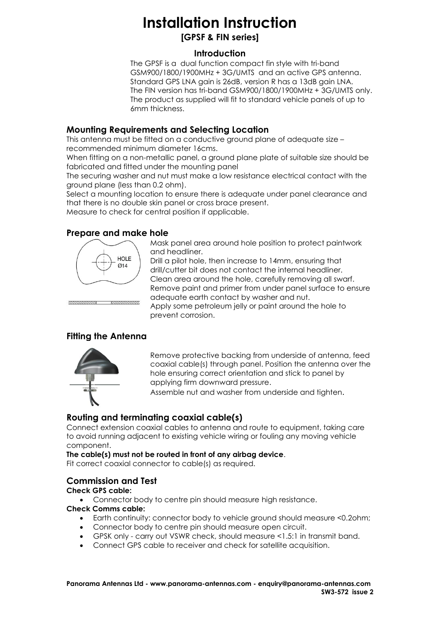# **Installation Instruction**

**[GPSF & FIN series]**

#### **Introduction**

The GPSF is a dual function compact fin style with tri-band GSM900/1800/1900MHz + 3G/UMTS and an active GPS antenna. Standard GPS LNA gain is 26dB, version R has a 13dB gain LNA. The FIN version has tri-band GSM900/1800/1900MHz + 3G/UMTS only. The product as supplied will fit to standard vehicle panels of up to 6mm thickness.

## **Mounting Requirements and Selecting Location**

This antenna must be fitted on a conductive ground plane of adequate size – recommended minimum diameter 16cms.

When fitting on a non-metallic panel, a ground plane plate of suitable size should be fabricated and fitted under the mounting panel

The securing washer and nut must make a low resistance electrical contact with the ground plane (less than 0.2 ohm).

Select a mounting location to ensure there is adequate under panel clearance and that there is no double skin panel or cross brace present.

Measure to check for central position if applicable.

## **Prepare and make hole**



Mask panel area around hole position to protect paintwork and headliner.

Drill a pilot hole, then increase to 14mm, ensuring that drill/cutter bit does not contact the internal headliner. Clean area around the hole, carefully removing all swarf. Remove paint and primer from under panel surface to ensure adequate earth contact by washer and nut. Apply some petroleum jelly or paint around the hole to prevent corrosion.

## **Fitting the Antenna**

<u>ummuma viimmimin</u>



Remove protective backing from underside of antenna, feed coaxial cable(s) through panel. Position the antenna over the hole ensuring correct orientation and stick to panel by applying firm downward pressure.

Assemble nut and washer from underside and tighten.

## **Routing and terminating coaxial cable(s)**

Connect extension coaxial cables to antenna and route to equipment, taking care to avoid running adjacent to existing vehicle wiring or fouling any moving vehicle component.

**The cable(s) must not be routed in front of any airbag device**.

Fit correct coaxial connector to cable(s) as required.

## **Commission and Test**

#### **Check GPS cable:**

Connector body to centre pin should measure high resistance.

#### **Check Comms cable:**

- Earth continuity: connector body to vehicle ground should measure <0.2ohm;
- Connector body to centre pin should measure open circuit.
- GPSK only carry out VSWR check, should measure <1.5:1 in transmit band.
- Connect GPS cable to receiver and check for satellite acquisition.